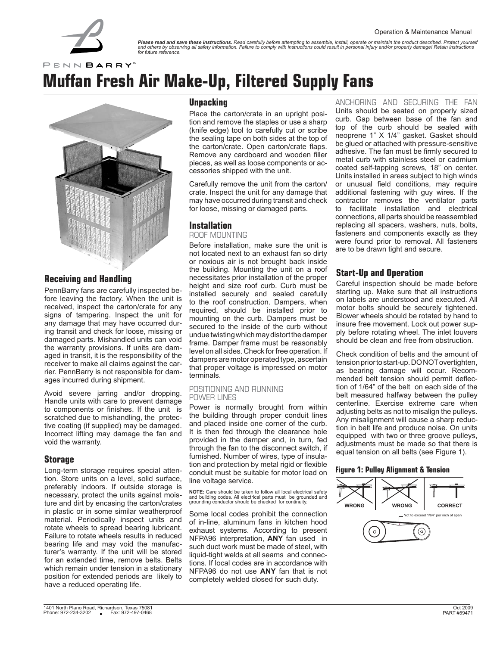

**Please read and save these instructions.** Read carefully before attempting to assemble, install, operate or maintain the product described. Protect yourself<br>and others by observing all safety information. Failure to compl

PENN BARRY<sup>M</sup>

# **Muffan Fresh Air Make-Up, Filtered Supply Fans**



**Receiving and Handling** 

PennBarry fans are carefully inspected before leaving the factory. When the unit is received, inspect the carton/crate for any signs of tampering. Inspect the unit for any damage that may have occurred during transit and check for loose, missing or damaged parts. Mishandled units can void the warranty provisions. If units are damaged in transit, it is the responsibility of the receiver to make all claims against the carrier. PennBarry is not responsible for damages incurred during shipment.

Avoid severe jarring and/or dropping. Handle units with care to prevent damage to components or finishes. If the unit is scratched due to mishandling, the protective coating (if supplied) may be damaged. Incorrect lifting may damage the fan and void the warranty.

### **Storage**

Long-term storage requires special attention. Store units on a level, solid surface, preferably indoors. If outside storage is necessary, protect the units against moisture and dirt by encasing the carton/crates in plastic or in some similar weatherproof material. Periodically inspect units and rotate wheels to spread bearing lubricant. Failure to rotate wheels results in reduced bearing life and may void the manufacturer's warranty. If the unit will be stored for an extended time, remove belts. Belts which remain under tension in a stationary position for extended periods are likely to have a reduced operating life.

#### **Unpacking**

Place the carton/crate in an upright position and remove the staples or use a sharp (knife edge) tool to carefully cut or scribe the sealing tape on both sides at the top of the carton/crate. Open carton/crate flaps. Remove any cardboard and wooden filler pieces, as well as loose components or accessories shipped with the unit.

Carefully remove the unit from the carton/ crate. Inspect the unit for any damage that may have occurred during transit and check for loose, missing or damaged parts.

### **Installation**

ROOF MOUNTING

Before installation, make sure the unit is not located next to an exhaust fan so dirty or noxious air is not brought back inside the building. Mounting the unit on a roof necessitates prior installation of the proper height and size roof curb. Curb must be installed securely and sealed carefully to the roof construction. Dampers, when required, should be installed prior to mounting on the curb. Dampers must be secured to the inside of the curb without undue twisting which may distort the damper frame. Damper frame must be reasonably level on all sides. Check for free operation. If dampers are motor operated type, ascertain that proper voltage is impressed on motor terminals.

#### POSITIONING AND RUNNING POWER LINES

Power is normally brought from within the building through proper conduit lines and placed inside one corner of the curb. It is then fed through the clearance hole provided in the damper and, in turn, fed through the fan to the disconnect switch, if furnished. Number of wires, type of insulation and protection by metal rigid or flexible conduit must be suitable for motor load on line voltage service.

**NOTE:** Care should be taken to follow all local electrical safety and building codes. All electrical parts must be grounded and grounding conductor should be checked for continuity.

Some local codes prohibit the connection of in-line, aluminum fans in kitchen hood exhaust systems. According to present NFPA96 interpretation, **ANY** fan used in such duct work must be made of steel, with liquid-tight welds at all seams and connections. If local codes are in accordance with NFPA96 do not use **ANY** fan that is not completely welded closed for such duty.

ANCHORING AND SECURING THE FAN Units should be seated on properly sized curb. Gap between base of the fan and top of the curb should be sealed with neoprene 1" X 1/4" gasket. Gasket should be glued or attached with pressure-sensitive adhesive. The fan must be firmly secured to metal curb with stainless steel or cadmium coated self-tapping screws, 18" on center. Units installed in areas subject to high winds or unusual field conditions, may require additional fastening with guy wires. If the contractor removes the ventilator parts to facilitate installation and electrical connections, all parts should be reassembled replacing all spacers, washers, nuts, bolts, fasteners and components exactly as they were found prior to removal. All fasteners are to be drawn tight and secure.

# **Start-Up and Operation**

Careful inspection should be made before starting up. Make sure that all instructions on labels are understood and executed. All motor bolts should be securely tightened. Blower wheels should be rotated by hand to insure free movement. Lock out power supply before rotating wheel. The inlet louvers should be clean and free from obstruction.

Check condition of belts and the amount of tension prior to start-up. DO NOT overtighten, as bearing damage will occur. Recommended belt tension should permit deflection of 1/64" of the belt on each side of the belt measured halfway between the pulley centerline. Exercise extreme care when adjusting belts as not to misalign the pulleys. Any misalignment will cause a sharp reduction in belt life and produce noise. On units equipped with two or three groove pulleys, adjustments must be made so that there is equal tension on all belts (see Figure 1).

#### **Figure 1: Pulley Alignment & Tension**

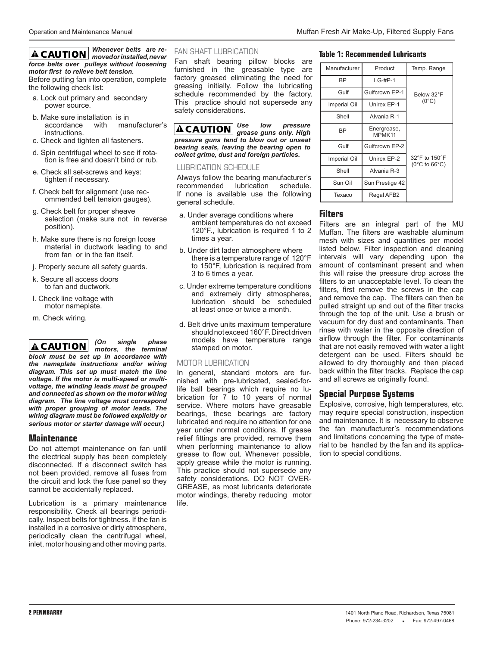#### *Whenever belts are removed or installed, never force belts over pulleys without loosening motor first to relieve belt tension.*

Before putting fan into operation, complete the following check list:

- a. Lock out primary and secondary power source.
- b. Make sure installation is in<br>accordance with mail with manufacturer's instructions.
- c. Check and tighten all fasteners.
- d. Spin centrifugal wheel to see if rotation is free and doesn't bind or rub.
- e. Check all set-screws and keys: tighten if necessary.
- f. Check belt for alignment (use recommended belt tension gauges).
- g. Check belt for proper sheave selection (make sure not in reverse position).
- h. Make sure there is no foreign loose material in ductwork leading to and from fan or in the fan itself.
- j. Properly secure all safety guards.
- k. Secure all access doors to fan and ductwork.
- l. Check line voltage with motor nameplate.
- m. Check wiring.

*(On single phase*  **ACAUTION** *motors, the terminal block must be set up in accordance with the nameplate instructions and/or wiring diagram. This set up must match the line voltage. If the motor is multi-speed or multivoltage, the winding leads must be grouped and connected as shown on the motor wiring diagram. The line voltage must correspond with proper grouping of motor leads. The wiring diagram must be followed explicitly or serious motor or starter damage will occur.)* 

#### **Maintenance**

Do not attempt maintenance on fan until the electrical supply has been completely disconnected. If a disconnect switch has not been provided, remove all fuses from the circuit and lock the fuse panel so they cannot be accidentally replaced.

Lubrication is a primary maintenance responsibility. Check all bearings periodically. Inspect belts for tightness. If the fan is installed in a corrosive or dirty atmosphere, periodically clean the centrifugal wheel, inlet, motor housing and other moving parts.

#### FAN SHAFT LUBRICATION

Fan shaft bearing pillow blocks are furnished in the greasable type are factory greased eliminating the need for greasing initially. Follow the lubricating schedule recommended by the factory. This practice should not supersede any safety considerations.

*Use low pressure grease guns only. High pressure guns tend to blow out or unseat bearing seals, leaving the bearing open to collect grime, dust and foreign particles.* 

#### LUBRICATION SCHEDULE

Always follow the bearing manufacturer's recommended lubrication schedule. If none is available use the following general schedule.

- a. Under average conditions where ambient temperatures do not exceed 120°F., lubrication is required 1 to 2 times a year.
- b. Under dirt laden atmosphere where there is a temperature range of 120°F to 150°F, lubrication is required from 3 to 6 times a year.
- c. Under extreme temperature conditions and extremely dirty atmospheres, lubrication should be scheduled at least once or twice a month.
- d. Belt drive units maximum temperature should not exceed 160°F. Direct driven models have temperature range stamped on motor.

#### MOTOR LUBRICATION

In general, standard motors are furnished with pre-lubricated, sealed-forlife ball bearings which require no lubrication for 7 to 10 years of normal service. Where motors have greasable bearings, these bearings are factory lubricated and require no attention for one year under normal conditions. If grease relief fittings are provided, remove them when performing maintenance to allow grease to flow out. Whenever possible, apply grease while the motor is running. This practice should not supersede any safety considerations. DO NOT OVER-GREASE, as most lubricants deteriorate motor windings, thereby reducing motor life.

# **Table 1: Recommended Lubricants**

| Manufacturer | Product               | Temp. Range                                         |
|--------------|-----------------------|-----------------------------------------------------|
| <b>BP</b>    | $LG-{\#}P-1$          |                                                     |
| Gulf         | Gulfcrown EP-1        | Below 32°F                                          |
| Imperial Oil | Unirex EP-1           | $(0^{\circ}C)$                                      |
| Shell        | Alvania R-1           |                                                     |
| <b>BP</b>    | Energrease,<br>MPMK11 |                                                     |
| Gulf         | Gulfcrown EP-2        |                                                     |
| Imperial Oil | Unirex EP-2           | 32°F to 150°F<br>$(0^{\circ}$ C to 66 $^{\circ}$ C) |
| Shell        | Alvania R-3           |                                                     |
| Sun Oil      | Sun Prestige 42       |                                                     |
| Texaco       | Regal AFB2            |                                                     |

#### **Filters**

Filters are an integral part of the MU Muffan. The filters are washable aluminum mesh with sizes and quantities per model listed below. Filter inspection and cleaning intervals will vary depending upon the amount of contaminant present and when this will raise the pressure drop across the filters to an unacceptable level. To clean the filters, first remove the screws in the cap and remove the cap. The filters can then be pulled straight up and out of the filter tracks through the top of the unit. Use a brush or vacuum for dry dust and contaminants. Then rinse with water in the opposite direction of airflow through the filter. For contaminants that are not easily removed with water a light detergent can be used. Filters should be allowed to dry thoroughly and then placed back within the filter tracks. Replace the cap and all screws as originally found.

### **Special Purpose Systems**

Explosive, corrosive, high temperatures, etc. may require special construction, inspection and maintenance. It is necessary to observe the fan manufacturer's recommendations and limitations concerning the type of material to be handled by the fan and its application to special conditions.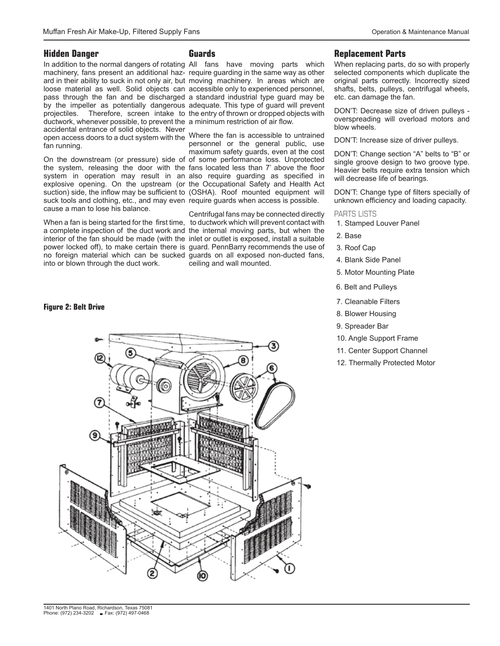#### **Hidden Danger**

In addition to the normal dangers of rotating All fans have moving parts which machinery, fans present an additional haz-require guarding in the same way as other ard in their ability to suck in not only air, but moving machinery. In areas which are loose material as well. Solid objects can accessible only to experienced personnel, pass through the fan and be discharged a standard industrial type guard may be by the impeller as potentially dangerous adequate. This type of guard will prevent projectiles. Therefore, screen intake to the entry of thrown or dropped objects with ductwork, whenever possible, to prevent the a minimum restriction of air flow. accidental entrance of solid objects. Never open access doors to a duct system with the Where the fan is accessible to untrained fan running.

On the downstream (or pressure) side of of some performance loss. Unprotected the system, releasing the door with the fans located less than 7' above the floor system in operation may result in an-also require guarding as specified in explosive opening. On the upstream (or the Occupational Safety and Health Act suction) side, the inflow may be sufficient to (OSHA). Roof mounted equipment will suck tools and clothing, etc., and may even require guards when access is possible. cause a man to lose his balance.

into or blown through the duct work.

#### **Figure 2: Belt Drive**

# **Guards**

personnel or the general public, use maximum safety guards, even at the cost

When a fan is being started for the first time, to ductwork which will prevent contact with a complete inspection of the duct work and the internal moving parts, but when the interior of the fan should be made (with the inlet or outlet is exposed, install a suitable power locked off), to make certain there is guard. PennBarry recommends the use of no foreign material which can be sucked guards on all exposed non-ducted fans, Centrifugal fans may be connected directly ceiling and wall mounted.

#### **Replacement Parts**

When replacing parts, do so with properly selected components which duplicate the original parts correctly. Incorrectly sized shafts, belts, pulleys, centrifugal wheels, etc. can damage the fan.

DON'T: Decrease size of driven pulleys overspreading will overload motors and blow wheels.

DON'T: Increase size of driver pulleys.

DON'T: Change section "A" belts to "B" or single groove design to two groove type. Heavier belts require extra tension which will decrease life of bearings.

DON'T: Change type of filters specially of unknown efficiency and loading capacity.

#### PARTS LISTS

- 1. Stamped Louver Panel
- 2. Base
- 3. Roof Cap

4. Blank Side Panel

- 5. Motor Mounting Plate
- 6. Belt and Pulleys
- 7. Cleanable Filters
- 8. Blower Housing
- 9. Spreader Bar
- 10. Angle Support Frame
- 11. Center Support Channel
- 12. Thermally Protected Motor

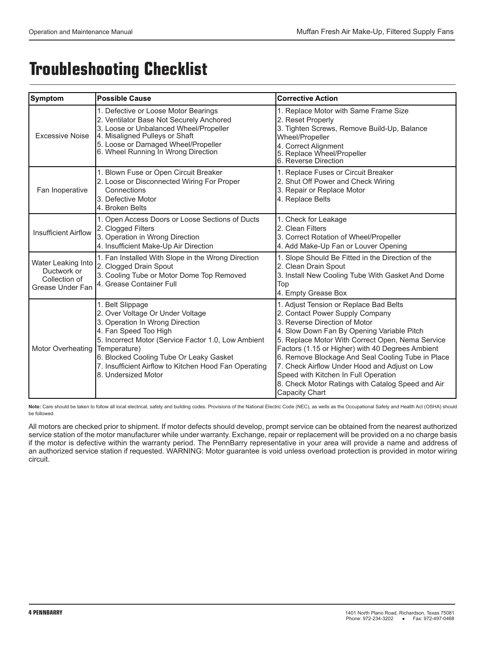# **Troubleshooting Checklist**

| Symptom                                                                | <b>Possible Cause</b>                                                                                                                                                                                                                                                                                              | <b>Corrective Action</b>                                                                                                                                                                                                                                                                                                                                                                                                                                                              |
|------------------------------------------------------------------------|--------------------------------------------------------------------------------------------------------------------------------------------------------------------------------------------------------------------------------------------------------------------------------------------------------------------|---------------------------------------------------------------------------------------------------------------------------------------------------------------------------------------------------------------------------------------------------------------------------------------------------------------------------------------------------------------------------------------------------------------------------------------------------------------------------------------|
| <b>Excessive Noise</b>                                                 | 1. Defective or Loose Motor Bearings<br>2. Ventilator Base Not Securely Anchored<br>3. Loose or Unbalanced Wheel/Propeller<br>4. Misaligned Pulleys or Shaft<br>5. Loose or Damaged Wheel/Propeller<br>6. Wheel Running In Wrong Direction                                                                         | 1. Replace Motor with Same Frame Size<br>2. Reset Properly<br>3. Tighten Screws, Remove Build-Up, Balance<br>Wheel/Propeller<br>4. Correct Alignment<br>5. Replace Wheel/Propeller<br>6. Reverse Direction                                                                                                                                                                                                                                                                            |
| Fan Inoperative                                                        | 1. Blown Fuse or Open Circuit Breaker<br>2. Loose or Disconnected Wiring For Proper<br>Connections<br>3. Defective Motor<br>4. Broken Belts                                                                                                                                                                        | 1. Replace Fuses or Circuit Breaker<br>2. Shut Off Power and Check Wiring<br>3. Repair or Replace Motor<br>4. Replace Belts                                                                                                                                                                                                                                                                                                                                                           |
| <b>Insufficient Airflow</b>                                            | 1. Open Access Doors or Loose Sections of Ducts<br>2. Clogged Filters<br>3. Operation in Wrong Direction<br>4. Insufficient Make-Up Air Direction                                                                                                                                                                  | 1. Check for Leakage<br>2. Clean Filters<br>3. Correct Rotation of Wheel/Propeller<br>4. Add Make-Up Fan or Louver Opening                                                                                                                                                                                                                                                                                                                                                            |
| Water Leaking Into<br>Ductwork or<br>Collection of<br>Grease Under Fan | 1. Fan Installed With Slope in the Wrong Direction<br>2. Clogged Drain Spout<br>3. Cooling Tube or Motor Dome Top Removed<br>4. Grease Container Full                                                                                                                                                              | 1. Slope Should Be Fitted in the Direction of the<br>2. Clean Drain Spout<br>3. Install New Cooling Tube With Gasket And Dome<br>Top<br>4. Empty Grease Box                                                                                                                                                                                                                                                                                                                           |
| Motor Overheating                                                      | 1. Belt Slippage<br>2. Over Voltage Or Under Voltage<br>3. Operation In Wrong Direction<br>4. Fan Speed Too High<br>5. Incorrect Motor (Service Factor 1.0, Low Ambient<br>Temperature)<br>6. Blocked Cooling Tube Or Leaky Gasket<br>7. Insufficient Airflow to Kitchen Hood Fan Operating<br>8. Undersized Motor | 1. Adjust Tension or Replace Bad Belts<br>2. Contact Power Supply Company<br>3. Reverse Direction of Motor<br>4. Slow Down Fan By Opening Variable Pitch<br>5. Replace Motor With Correct Open, Nema Service<br>Factors (1.15 or Higher) with 40 Degrees Ambient<br>6. Remove Blockage And Seal Cooling Tube in Place<br>7. Check Airflow Under Hood and Adjust on Low<br>Speed with Kitchen In Full Operation<br>8. Check Motor Ratings with Catalog Speed and Air<br>Capacity Chart |

Note: Care should be taken to follow all local electrical, safety and building codes. Provisions of the National Electric Code (NEC), as wells as the Occupational Safety and Health Act (OSHA) should be followed.

All motors are checked prior to shipment. If motor defects should develop, prompt service can be obtained from the nearest authorized service station of the motor manufacturer while under warranty. Exchange, repair or replacement will be provided on a no charge basis if the motor is defective within the warranty period. The PennBarry representative in your area will provide a name and address of an authorized service station if requested. WARNING: Motor guarantee is void unless overload protection is provided in motor wiring circuit.